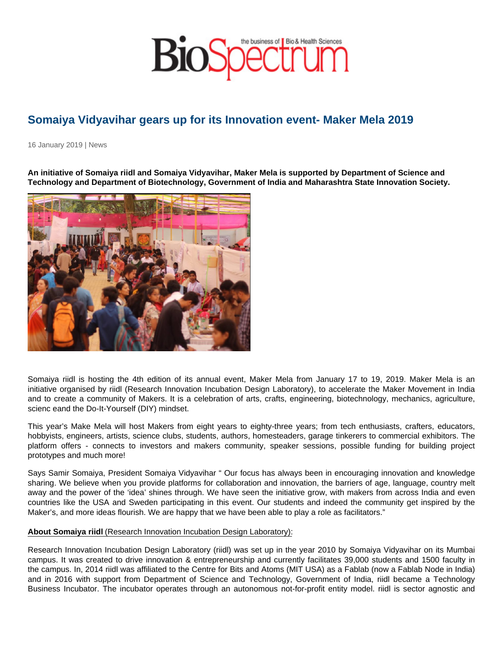## Somaiya Vidyavihar gears up for its Innovation event- Maker Mela 2019

16 January 2019 | News

An initiative of Somaiya riidl and Somaiya Vidyavihar, Maker Mela is supported by Department of Science and Technology and Department of Biotechnology, Government of India and Maharashtra State Innovation Society.

Somaiya riidl is hosting the 4th edition of its annual event, Maker Mela from January 17 to 19, 2019. Maker Mela is an initiative organised by riidl (Research Innovation Incubation Design Laboratory), to accelerate the Maker Movement in India and to create a community of Makers. It is a celebration of arts, crafts, engineering, biotechnology, mechanics, agriculture, scienc eand the Do-It-Yourself (DIY) mindset.

This year's Make Mela will host Makers from eight years to eighty-three years; from tech enthusiasts, crafters, educators, hobbyists, engineers, artists, science clubs, students, authors, homesteaders, garage tinkerers to commercial exhibitors. The platform offers - connects to investors and makers community, speaker sessions, possible funding for building project prototypes and much more!

Says Samir Somaiya, President Somaiya Vidyavihar " Our focus has always been in encouraging innovation and knowledge sharing. We believe when you provide platforms for collaboration and innovation, the barriers of age, language, country melt away and the power of the 'idea' shines through. We have seen the initiative grow, with makers from across India and even countries like the USA and Sweden participating in this event. Our students and indeed the community get inspired by the Maker's, and more ideas flourish. We are happy that we have been able to play a role as facilitators."

## About Somaiya riidl (Research Innovation Incubation Design Laboratory):

Research Innovation Incubation Design Laboratory (riidl) was set up in the year 2010 by Somaiya Vidyavihar on its Mumbai campus. It was created to drive innovation & entrepreneurship and currently facilitates 39,000 students and 1500 faculty in the campus. In, 2014 riidl was affiliated to the Centre for Bits and Atoms (MIT USA) as a Fablab (now a Fablab Node in India) and in 2016 with support from Department of Science and Technology, Government of India, riidl became a Technology Business Incubator. The incubator operates through an autonomous not-for-profit entity model. riidl is sector agnostic and